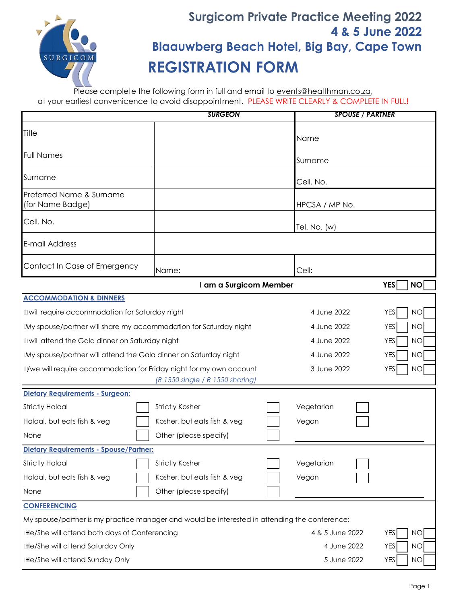

## **Surgicom Private Practice Meeting 2022 4 & 5 June 2022 Blaauwberg Beach Hotel, Big Bay, Cape Town REGISTRATION FORM**

Please complete the following form in full and email to events@healthman.co.za, at your earliest convenicence to avoid disappointment. PLEASE WRITE CLEARLY & COMPLETE IN FULL!

| <b>SURGEON</b>                                                                                          |                                                                                               |                         | <b>SPOUSE / PARTNER</b> |  |
|---------------------------------------------------------------------------------------------------------|-----------------------------------------------------------------------------------------------|-------------------------|-------------------------|--|
| Title                                                                                                   |                                                                                               | Name                    |                         |  |
| <b>Full Names</b>                                                                                       |                                                                                               | Surname                 |                         |  |
| Surname                                                                                                 |                                                                                               | Cell. No.               |                         |  |
| Preferred Name & Surname<br>(for Name Badge)                                                            |                                                                                               | HPCSA / MP No.          |                         |  |
| Cell. No.                                                                                               |                                                                                               | Tel. No. $(w)$          |                         |  |
| E-mail Address                                                                                          |                                                                                               |                         |                         |  |
| Contact In Case of Emergency                                                                            | Name:                                                                                         | Cell:                   |                         |  |
|                                                                                                         | I am a Surgicom Member                                                                        |                         | <b>YES</b><br><b>NO</b> |  |
| <b>ACCOMMODATION &amp; DINNERS</b>                                                                      |                                                                                               |                         |                         |  |
| +will require accommodation for Saturday night                                                          |                                                                                               | 4 June 2022             | <b>NO</b><br><b>YES</b> |  |
| -My spouse/partner will share my accommodation for Saturday night                                       |                                                                                               | 4 June 2022             | <b>NO</b><br><b>YES</b> |  |
| +will attend the Gala dinner on Saturday night                                                          |                                                                                               | 4 June 2022             | <b>NO</b><br><b>YES</b> |  |
| -My spouse/partner will attend the Gala dinner on Saturday night                                        |                                                                                               | 4 June 2022             | NO<br><b>YES</b>        |  |
| +/we will require accommodation for Friday night for my own account<br>(R 1350 single / R 1550 sharing) |                                                                                               | 3 June 2022             | ΝO<br>YES               |  |
| Dietary Requirements - Surgeon:                                                                         |                                                                                               |                         |                         |  |
| <b>Strictly Halaal</b>                                                                                  | <b>Strictly Kosher</b>                                                                        | Vegetarian              |                         |  |
| Halaal, but eats fish & veg                                                                             | Kosher, but eats fish & veg                                                                   | Vegan                   |                         |  |
| None                                                                                                    | Other (please specify)                                                                        |                         |                         |  |
| Dietary Requirements - Spouse/Partner:                                                                  |                                                                                               |                         |                         |  |
| <b>Strictly Halaal</b>                                                                                  | <b>Strictly Kosher</b>                                                                        | Vegetarian              |                         |  |
| Halaal, but eats fish & veg                                                                             | Kosher, but eats fish & veg                                                                   | Vegan                   |                         |  |
| None                                                                                                    | Other (please specify)                                                                        |                         |                         |  |
| <b>CONFERENCING</b>                                                                                     |                                                                                               |                         |                         |  |
|                                                                                                         | My spouse/partner is my practice manager and would be interested in attending the conference: |                         |                         |  |
| He/She will attend both days of Conferencing                                                            | 4 & 5 June 2022                                                                               | <b>YES</b><br>NO        |                         |  |
| <b>He/She will attend Saturday Only</b>                                                                 | 4 June 2022                                                                                   | <b>YES</b><br>NO        |                         |  |
| He/She will attend Sunday Only                                                                          | 5 June 2022                                                                                   | <b>YES</b><br><b>NO</b> |                         |  |